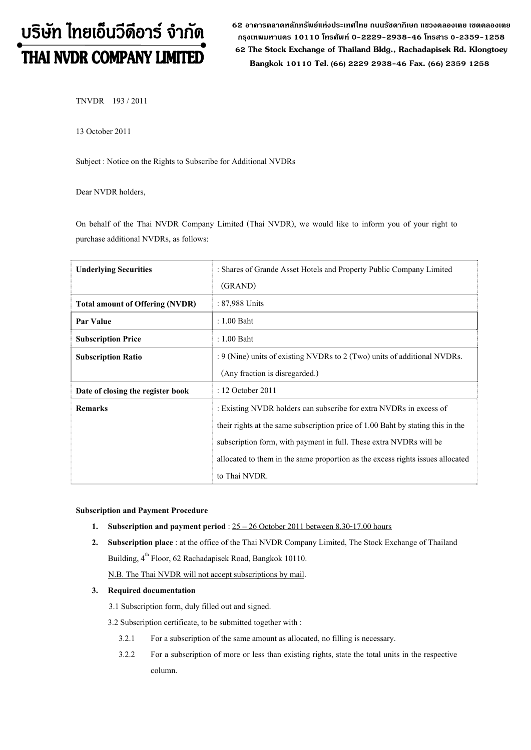# บริษัท ไทยเอ็นวีดีอาร์ จำกัด THAI NVDR COMPANY LIMITED

**62 อาคารตลาดหลักทรัพยแหงประเทศไทย ถนนรัชดาภิเษก แขวงคลองเตย เขตคลองเตย กรุงเทพมหานคร 10110 โทรศัพท 0-2229-2938-46 โทรสาร 0-2359-1258 62 The Stock Exchange of Thailand Bldg., Rachadapisek Rd. Klongtoey Bangkok 10110 Tel. (66) 2229 2938-46 Fax. (66) 2359 1258**

TNVDR 193 / 2011

13 October 2011

Subject : Notice on the Rights to Subscribe for Additional NVDRs

Dear NVDR holders,

On behalf of the Thai NVDR Company Limited (Thai NVDR), we would like to inform you of your right to purchase additional NVDRs, as follows:

| <b>Underlying Securities</b>           | : Shares of Grande Asset Hotels and Property Public Company Limited             |  |  |
|----------------------------------------|---------------------------------------------------------------------------------|--|--|
|                                        | (GRAND)                                                                         |  |  |
| <b>Total amount of Offering (NVDR)</b> | : 87,988 Units                                                                  |  |  |
| Par Value                              | : 1.00 Baht                                                                     |  |  |
| <b>Subscription Price</b>              | : 1.00 Baht                                                                     |  |  |
| <b>Subscription Ratio</b>              | : 9 (Nine) units of existing NVDRs to 2 (Two) units of additional NVDRs.        |  |  |
|                                        | (Any fraction is disregarded.)                                                  |  |  |
| Date of closing the register book      | : 12 October 2011                                                               |  |  |
| <b>Remarks</b>                         | : Existing NVDR holders can subscribe for extra NVDRs in excess of              |  |  |
|                                        | their rights at the same subscription price of 1.00 Baht by stating this in the |  |  |
|                                        | subscription form, with payment in full. These extra NVDRs will be              |  |  |
|                                        | allocated to them in the same proportion as the excess rights issues allocated  |  |  |
|                                        | to Thai NVDR.                                                                   |  |  |

#### **Subscription and Payment Procedure**

- **1. Subscription and payment period** : 25 26 October 2011 between 8.30-17.00 hours
- **2. Subscription place** : at the office of the Thai NVDR Company Limited, The Stock Exchange of Thailand Building, 4<sup>th</sup> Floor, 62 Rachadapisek Road, Bangkok 10110.

## N.B. The Thai NVDR will not accept subscriptions by mail.

#### **3. Required documentation**

3.1 Subscription form, duly filled out and signed.

3.2 Subscription certificate, to be submitted together with :

- 3.2.1 For a subscription of the same amount as allocated, no filling is necessary.
- 3.2.2 For a subscription of more or less than existing rights, state the total units in the respective column.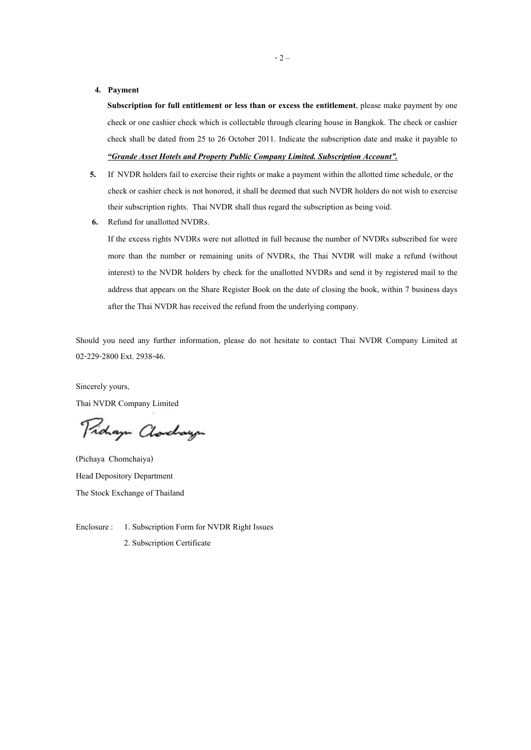**4. Payment** 

**Subscription for full entitlement or less than or excess the entitlement**, please make payment by one check or one cashier check which is collectable through clearing house in Bangkok. The check or cashier check shall be dated from 25 to 26 October 2011. Indicate the subscription date and make it payable to *"Grande Asset Hotels and Property Public Company Limited. Subscription Account".*

- **5.** If NVDR holders fail to exercise their rights or make a payment within the allotted time schedule, or the check or cashier check is not honored, it shall be deemed that such NVDR holders do not wish to exercise their subscription rights. Thai NVDR shall thus regard the subscription as being void.
- **6.** Refund for unallotted NVDRs.

If the excess rights NVDRs were not allotted in full because the number of NVDRs subscribed for were more than the number or remaining units of NVDRs, the Thai NVDR will make a refund (without interest) to the NVDR holders by check for the unallotted NVDRs and send it by registered mail to the address that appears on the Share Register Book on the date of closing the book, within 7 business days after the Thai NVDR has received the refund from the underlying company.

Should you need any further information, please do not hesitate to contact Thai NVDR Company Limited at 02-229-2800 Ext. 2938-46.

Sincerely yours, Thai NVDR Company Limited

Proham Charchauge

(Pichaya Chomchaiya) Head Depository Department The Stock Exchange of Thailand

Enclosure : 1. Subscription Form for NVDR Right Issues 2. Subscription Certificate